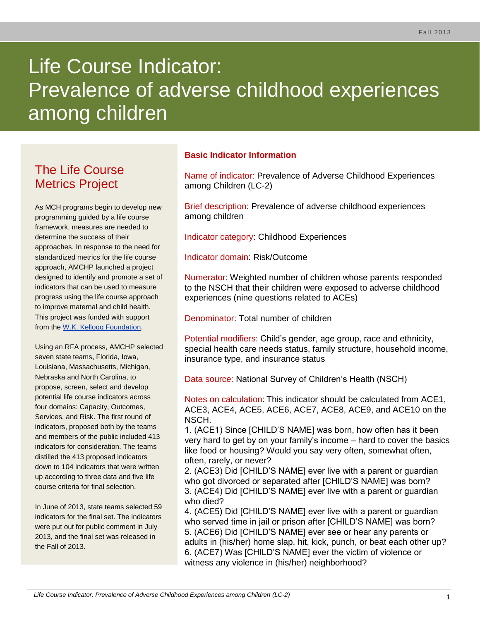# Life Course Indicator: Prevalence of adverse childhood experiences among children

# The Life Course Metrics Project

As MCH programs begin to develop new programming guided by a life course framework, measures are needed to determine the success of their approaches. In response to the need for standardized metrics for the life course approach, AMCHP launched a project designed to identify and promote a set of indicators that can be used to measure progress using the life course approach to improve maternal and child health. This project was funded with support from the [W.K. Kellogg Foundation.](http://www.wkkf.org/)

Using an RFA process, AMCHP selected seven state teams, Florida, Iowa, Louisiana, Massachusetts, Michigan, Nebraska and North Carolina, to propose, screen, select and develop potential life course indicators across four domains: Capacity, Outcomes, Services, and Risk. The first round of indicators, proposed both by the teams and members of the public included 413 indicators for consideration. The teams distilled the 413 proposed indicators down to 104 indicators that were written up according to three data and five life course criteria for final selection.

In June of 2013, state teams selected 59 indicators for the final set. The indicators were put out for public comment in July 2013, and the final set was released in the Fall of 2013.

# **Basic Indicator Information**

Name of indicator: Prevalence of Adverse Childhood Experiences among Children (LC-2)

Brief description: Prevalence of adverse childhood experiences among children

Indicator category: Childhood Experiences

Indicator domain: Risk/Outcome

Numerator: Weighted number of children whose parents responded to the NSCH that their children were exposed to adverse childhood experiences (nine questions related to ACEs)

Denominator: Total number of children

Potential modifiers: Child's gender, age group, race and ethnicity, special health care needs status, family structure, household income, insurance type, and insurance status

Data source: National Survey of Children's Health (NSCH)

Notes on calculation: This indicator should be calculated from ACE1, ACE3, ACE4, ACE5, ACE6, ACE7, ACE8, ACE9, and ACE10 on the NSCH.

1. (ACE1) Since [CHILD'S NAME] was born, how often has it been very hard to get by on your family's income – hard to cover the basics like food or housing? Would you say very often, somewhat often, often, rarely, or never?

2. (ACE3) Did [CHILD'S NAME] ever live with a parent or guardian who got divorced or separated after [CHILD'S NAME] was born? 3. (ACE4) Did [CHILD'S NAME] ever live with a parent or guardian who died?

4. (ACE5) Did [CHILD'S NAME] ever live with a parent or guardian who served time in jail or prison after [CHILD'S NAME] was born? 5. (ACE6) Did [CHILD'S NAME] ever see or hear any parents or adults in (his/her) home slap, hit, kick, punch, or beat each other up? 6. (ACE7) Was [CHILD'S NAME] ever the victim of violence or witness any violence in (his/her) neighborhood?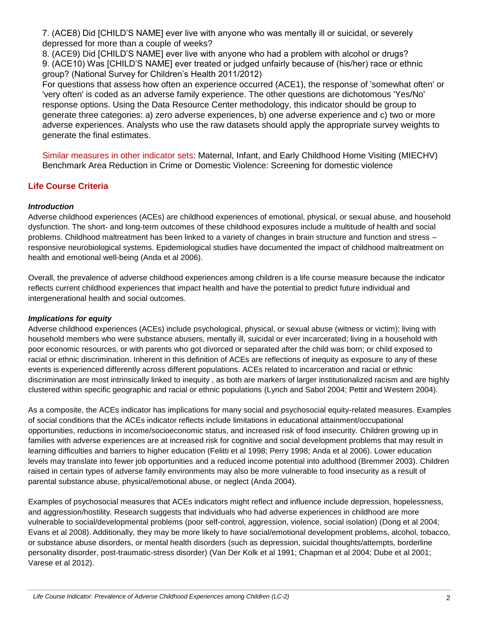7. (ACE8) Did [CHILD'S NAME] ever live with anyone who was mentally ill or suicidal, or severely depressed for more than a couple of weeks?

8. (ACE9) Did [CHILD'S NAME] ever live with anyone who had a problem with alcohol or drugs? 9. (ACE10) Was [CHILD'S NAME] ever treated or judged unfairly because of (his/her) race or ethnic group? (National Survey for Children's Health 2011/2012)

For questions that assess how often an experience occurred (ACE1), the response of 'somewhat often' or 'very often' is coded as an adverse family experience. The other questions are dichotomous 'Yes/No' response options. Using the Data Resource Center methodology, this indicator should be group to generate three categories: a) zero adverse experiences, b) one adverse experience and c) two or more adverse experiences. Analysts who use the raw datasets should apply the appropriate survey weights to generate the final estimates.

Similar measures in other indicator sets: Maternal, Infant, and Early Childhood Home Visiting (MIECHV) Benchmark Area Reduction in Crime or Domestic Violence: Screening for domestic violence

# **Life Course Criteria**

#### *Introduction*

Adverse childhood experiences (ACEs) are childhood experiences of emotional, physical, or sexual abuse, and household dysfunction. The short- and long-term outcomes of these childhood exposures include a multitude of health and social problems. Childhood maltreatment has been linked to a variety of changes in brain structure and function and stress – responsive neurobiological systems. Epidemiological studies have documented the impact of childhood maltreatment on health and emotional well-being (Anda et al 2006).

Overall, the prevalence of adverse childhood experiences among children is a life course measure because the indicator reflects current childhood experiences that impact health and have the potential to predict future individual and intergenerational health and social outcomes.

#### *Implications for equity*

Adverse childhood experiences (ACEs) include psychological, physical, or sexual abuse (witness or victim); living with household members who were substance abusers, mentally ill, suicidal or ever incarcerated; living in a household with poor economic resources, or with parents who got divorced or separated after the child was born; or child exposed to racial or ethnic discrimination. Inherent in this definition of ACEs are reflections of inequity as exposure to any of these events is experienced differently across different populations. ACEs related to incarceration and racial or ethnic discrimination are most intrinsically linked to inequity , as both are markers of larger institutionalized racism and are highly clustered within specific geographic and racial or ethnic populations (Lynch and Sabol 2004; Pettit and Western 2004).

As a composite, the ACEs indicator has implications for many social and psychosocial equity-related measures. Examples of social conditions that the ACEs indicator reflects include limitations in educational attainment/occupational opportunities, reductions in income/socioeconomic status, and increased risk of food insecurity. Children growing up in families with adverse experiences are at increased risk for cognitive and social development problems that may result in learning difficulties and barriers to higher education (Felitti et al 1998; Perry 1998; Anda et al 2006). Lower education levels may translate into fewer job opportunities and a reduced income potential into adulthood (Bremmer 2003). Children raised in certain types of adverse family environments may also be more vulnerable to food insecurity as a result of parental substance abuse, physical/emotional abuse, or neglect (Anda 2004).

Examples of psychosocial measures that ACEs indicators might reflect and influence include depression, hopelessness, and aggression/hostility. Research suggests that individuals who had adverse experiences in childhood are more vulnerable to social/developmental problems (poor self-control, aggression, violence, social isolation) (Dong et al 2004; Evans et al 2008). Additionally, they may be more likely to have social/emotional development problems, alcohol, tobacco, or substance abuse disorders, or mental health disorders (such as depression, suicidal thoughts/attempts, borderline personality disorder, post-traumatic-stress disorder) (Van Der Kolk et al 1991; Chapman et al 2004; Dube et al 2001; Varese et al 2012).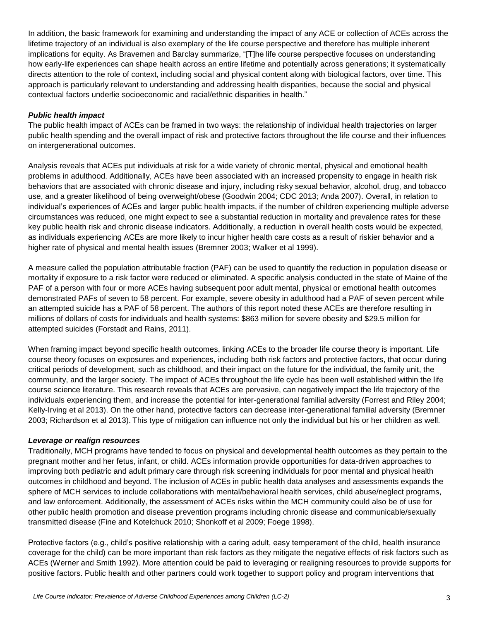In addition, the basic framework for examining and understanding the impact of any ACE or collection of ACEs across the lifetime trajectory of an individual is also exemplary of the life course perspective and therefore has multiple inherent implications for equity. As Bravemen and Barclay summarize, "[T]he life course perspective focuses on understanding how early-life experiences can shape health across an entire lifetime and potentially across generations; it systematically directs attention to the role of context, including social and physical content along with biological factors, over time. This approach is particularly relevant to understanding and addressing health disparities, because the social and physical contextual factors underlie socioeconomic and racial/ethnic disparities in health."

#### *Public health impact*

The public health impact of ACEs can be framed in two ways: the relationship of individual health trajectories on larger public health spending and the overall impact of risk and protective factors throughout the life course and their influences on intergenerational outcomes.

Analysis reveals that ACEs put individuals at risk for a wide variety of chronic mental, physical and emotional health problems in adulthood. Additionally, ACEs have been associated with an increased propensity to engage in health risk behaviors that are associated with chronic disease and injury, including risky sexual behavior, alcohol, drug, and tobacco use, and a greater likelihood of being overweight/obese (Goodwin 2004; CDC 2013; Anda 2007). Overall, in relation to individual's experiences of ACEs and larger public health impacts, if the number of children experiencing multiple adverse circumstances was reduced, one might expect to see a substantial reduction in mortality and prevalence rates for these key public health risk and chronic disease indicators. Additionally, a reduction in overall health costs would be expected, as individuals experiencing ACEs are more likely to incur higher health care costs as a result of riskier behavior and a higher rate of physical and mental health issues (Bremner 2003; Walker et al 1999).

A measure called the population attributable fraction (PAF) can be used to quantify the reduction in population disease or mortality if exposure to a risk factor were reduced or eliminated. A specific analysis conducted in the state of Maine of the PAF of a person with four or more ACEs having subsequent poor adult mental, physical or emotional health outcomes demonstrated PAFs of seven to 58 percent. For example, severe obesity in adulthood had a PAF of seven percent while an attempted suicide has a PAF of 58 percent. The authors of this report noted these ACEs are therefore resulting in millions of dollars of costs for individuals and health systems: \$863 million for severe obesity and \$29.5 million for attempted suicides (Forstadt and Rains, 2011).

When framing impact beyond specific health outcomes, linking ACEs to the broader life course theory is important. Life course theory focuses on exposures and experiences, including both risk factors and protective factors, that occur during critical periods of development, such as childhood, and their impact on the future for the individual, the family unit, the community, and the larger society. The impact of ACEs throughout the life cycle has been well established within the life course science literature. This research reveals that ACEs are pervasive, can negatively impact the life trajectory of the individuals experiencing them, and increase the potential for inter-generational familial adversity (Forrest and Riley 2004; Kelly-Irving et al 2013). On the other hand, protective factors can decrease inter-generational familial adversity (Bremner 2003; Richardson et al 2013). This type of mitigation can influence not only the individual but his or her children as well.

#### *Leverage or realign resources*

Traditionally, MCH programs have tended to focus on physical and developmental health outcomes as they pertain to the pregnant mother and her fetus, infant, or child. ACEs information provide opportunities for data-driven approaches to improving both pediatric and adult primary care through risk screening individuals for poor mental and physical health outcomes in childhood and beyond. The inclusion of ACEs in public health data analyses and assessments expands the sphere of MCH services to include collaborations with mental/behavioral health services, child abuse/neglect programs, and law enforcement. Additionally, the assessment of ACEs risks within the MCH community could also be of use for other public health promotion and disease prevention programs including chronic disease and communicable/sexually transmitted disease (Fine and Kotelchuck 2010; Shonkoff et al 2009; Foege 1998).

Protective factors (e.g., child's positive relationship with a caring adult, easy temperament of the child, health insurance coverage for the child) can be more important than risk factors as they mitigate the negative effects of risk factors such as ACEs (Werner and Smith 1992). More attention could be paid to leveraging or realigning resources to provide supports for positive factors. Public health and other partners could work together to support policy and program interventions that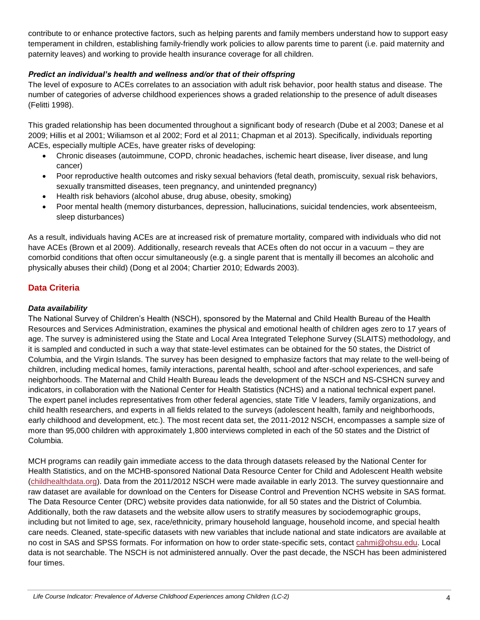contribute to or enhance protective factors, such as helping parents and family members understand how to support easy temperament in children, establishing family-friendly work policies to allow parents time to parent (i.e. paid maternity and paternity leaves) and working to provide health insurance coverage for all children.

#### *Predict an individual's health and wellness and/or that of their offspring*

The level of exposure to ACEs correlates to an association with adult risk behavior, poor health status and disease. The number of categories of adverse childhood experiences shows a graded relationship to the presence of adult diseases (Felitti 1998).

This graded relationship has been documented throughout a significant body of research (Dube et al 2003; Danese et al 2009; Hillis et al 2001; Wiliamson et al 2002; Ford et al 2011; Chapman et al 2013). Specifically, individuals reporting ACEs, especially multiple ACEs, have greater risks of developing:

- Chronic diseases (autoimmune, COPD, chronic headaches, ischemic heart disease, liver disease, and lung cancer)
- Poor reproductive health outcomes and risky sexual behaviors (fetal death, promiscuity, sexual risk behaviors, sexually transmitted diseases, teen pregnancy, and unintended pregnancy)
- Health risk behaviors (alcohol abuse, drug abuse, obesity, smoking)
- Poor mental health (memory disturbances, depression, hallucinations, suicidal tendencies, work absenteeism, sleep disturbances)

As a result, individuals having ACEs are at increased risk of premature mortality, compared with individuals who did not have ACEs (Brown et al 2009). Additionally, research reveals that ACEs often do not occur in a vacuum – they are comorbid conditions that often occur simultaneously (e.g. a single parent that is mentally ill becomes an alcoholic and physically abuses their child) (Dong et al 2004; Chartier 2010; Edwards 2003).

## **Data Criteria**

#### *Data availability*

The National Survey of Children's Health (NSCH), sponsored by the Maternal and Child Health Bureau of the Health Resources and Services Administration, examines the physical and emotional health of children ages zero to 17 years of age. The survey is administered using the State and Local Area Integrated Telephone Survey (SLAITS) methodology, and it is sampled and conducted in such a way that state-level estimates can be obtained for the 50 states, the District of Columbia, and the Virgin Islands. The survey has been designed to emphasize factors that may relate to the well-being of children, including medical homes, family interactions, parental health, school and after-school experiences, and safe neighborhoods. The Maternal and Child Health Bureau leads the development of the NSCH and NS-CSHCN survey and indicators, in collaboration with the National Center for Health Statistics (NCHS) and a national technical expert panel. The expert panel includes representatives from other federal agencies, state Title V leaders, family organizations, and child health researchers, and experts in all fields related to the surveys (adolescent health, family and neighborhoods, early childhood and development, etc.). The most recent data set, the 2011-2012 NSCH, encompasses a sample size of more than 95,000 children with approximately 1,800 interviews completed in each of the 50 states and the District of Columbia.

MCH programs can readily gain immediate access to the data through datasets released by the National Center for Health Statistics, and on the MCHB-sponsored National Data Resource Center for Child and Adolescent Health website [\(childhealthdata.org\)](http://www.childhealthdata.org/). Data from the 2011/2012 NSCH were made available in early 2013. The survey questionnaire and raw dataset are available for download on the Centers for Disease Control and Prevention NCHS website in SAS format. The Data Resource Center (DRC) website provides data nationwide, for all 50 states and the District of Columbia. Additionally, both the raw datasets and the website allow users to stratify measures by sociodemographic groups, including but not limited to age, sex, race/ethnicity, primary household language, household income, and special health care needs. Cleaned, state-specific datasets with new variables that include national and state indicators are available at no cost in SAS and SPSS formats. For information on how to order state-specific sets, contact [cahmi@ohsu.edu.](mailto:cahmi@ohsu.edu) Local data is not searchable. The NSCH is not administered annually. Over the past decade, the NSCH has been administered four times.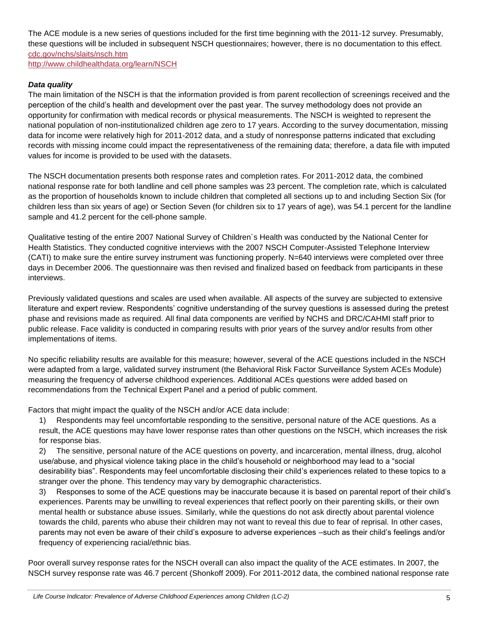The ACE module is a new series of questions included for the first time beginning with the 2011-12 survey. Presumably, these questions will be included in subsequent NSCH questionnaires; however, there is no documentation to this effect. [cdc.gov/nchs/slaits/nsch.htm](http://www.cdc.gov/nchs/slaits/nsch.htm)

<http://www.childhealthdata.org/learn/NSCH>

### *Data quality*

The main limitation of the NSCH is that the information provided is from parent recollection of screenings received and the perception of the child's health and development over the past year. The survey methodology does not provide an opportunity for confirmation with medical records or physical measurements. The NSCH is weighted to represent the national population of non-institutionalized children age zero to 17 years. According to the survey documentation, missing data for income were relatively high for 2011-2012 data, and a study of nonresponse patterns indicated that excluding records with missing income could impact the representativeness of the remaining data; therefore, a data file with imputed values for income is provided to be used with the datasets.

The NSCH documentation presents both response rates and completion rates. For 2011-2012 data, the combined national response rate for both landline and cell phone samples was 23 percent. The completion rate, which is calculated as the proportion of households known to include children that completed all sections up to and including Section Six (for children less than six years of age) or Section Seven (for children six to 17 years of age), was 54.1 percent for the landline sample and 41.2 percent for the cell-phone sample.

Qualitative testing of the entire 2007 National Survey of Children´s Health was conducted by the National Center for Health Statistics. They conducted cognitive interviews with the 2007 NSCH Computer-Assisted Telephone Interview (CATI) to make sure the entire survey instrument was functioning properly. N=640 interviews were completed over three days in December 2006. The questionnaire was then revised and finalized based on feedback from participants in these interviews.

Previously validated questions and scales are used when available. All aspects of the survey are subjected to extensive literature and expert review. Respondents' cognitive understanding of the survey questions is assessed during the pretest phase and revisions made as required. All final data components are verified by NCHS and DRC/CAHMI staff prior to public release. Face validity is conducted in comparing results with prior years of the survey and/or results from other implementations of items.

No specific reliability results are available for this measure; however, several of the ACE questions included in the NSCH were adapted from a large, validated survey instrument (the Behavioral Risk Factor Surveillance System ACEs Module) measuring the frequency of adverse childhood experiences. Additional ACEs questions were added based on recommendations from the Technical Expert Panel and a period of public comment.

Factors that might impact the quality of the NSCH and/or ACE data include:

1) Respondents may feel uncomfortable responding to the sensitive, personal nature of the ACE questions. As a result, the ACE questions may have lower response rates than other questions on the NSCH, which increases the risk for response bias.

2) The sensitive, personal nature of the ACE questions on poverty, and incarceration, mental illness, drug, alcohol use/abuse, and physical violence taking place in the child's household or neighborhood may lead to a "social desirability bias". Respondents may feel uncomfortable disclosing their child's experiences related to these topics to a stranger over the phone. This tendency may vary by demographic characteristics.

3) Responses to some of the ACE questions may be inaccurate because it is based on parental report of their child's experiences. Parents may be unwilling to reveal experiences that reflect poorly on their parenting skills, or their own mental health or substance abuse issues. Similarly, while the questions do not ask directly about parental violence towards the child, parents who abuse their children may not want to reveal this due to fear of reprisal. In other cases, parents may not even be aware of their child's exposure to adverse experiences –such as their child's feelings and/or frequency of experiencing racial/ethnic bias.

Poor overall survey response rates for the NSCH overall can also impact the quality of the ACE estimates. In 2007, the NSCH survey response rate was 46.7 percent (Shonkoff 2009). For 2011-2012 data, the combined national response rate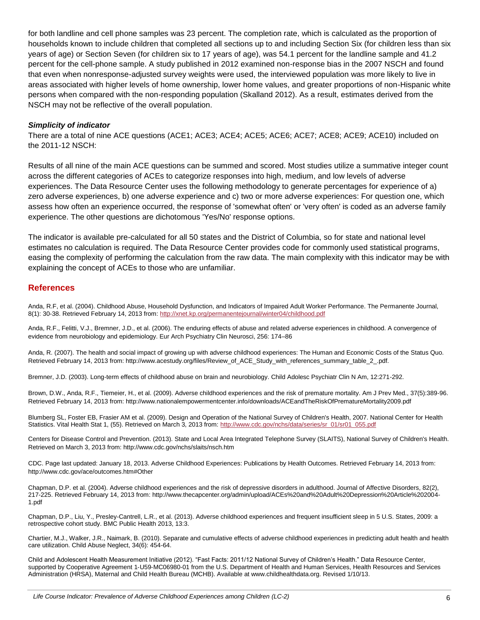for both landline and cell phone samples was 23 percent. The completion rate, which is calculated as the proportion of households known to include children that completed all sections up to and including Section Six (for children less than six years of age) or Section Seven (for children six to 17 years of age), was 54.1 percent for the landline sample and 41.2 percent for the cell-phone sample. A study published in 2012 examined non-response bias in the 2007 NSCH and found that even when nonresponse-adjusted survey weights were used, the interviewed population was more likely to live in areas associated with higher levels of home ownership, lower home values, and greater proportions of non-Hispanic white persons when compared with the non-responding population (Skalland 2012). As a result, estimates derived from the NSCH may not be reflective of the overall population.

#### *Simplicity of indicator*

There are a total of nine ACE questions (ACE1; ACE3; ACE4; ACE5; ACE6; ACE7; ACE8; ACE9; ACE10) included on the 2011-12 NSCH:

Results of all nine of the main ACE questions can be summed and scored. Most studies utilize a summative integer count across the different categories of ACEs to categorize responses into high, medium, and low levels of adverse experiences. The Data Resource Center uses the following methodology to generate percentages for experience of a) zero adverse experiences, b) one adverse experience and c) two or more adverse experiences: For question one, which assess how often an experience occurred, the response of 'somewhat often' or 'very often' is coded as an adverse family experience. The other questions are dichotomous 'Yes/No' response options.

The indicator is available pre-calculated for all 50 states and the District of Columbia, so for state and national level estimates no calculation is required. The Data Resource Center provides code for commonly used statistical programs, easing the complexity of performing the calculation from the raw data. The main complexity with this indicator may be with explaining the concept of ACEs to those who are unfamiliar.

#### **References**

Anda, R.F, et al. (2004). Childhood Abuse, Household Dysfunction, and Indicators of Impaired Adult Worker Performance. The Permanente Journal, 8(1): 30-38. Retrieved February 14, 2013 from:<http://xnet.kp.org/permanentejournal/winter04/childhood.pdf>

Anda, R.F., Felitti, V.J., Bremner, J.D., et al. (2006). The enduring effects of abuse and related adverse experiences in childhood. A convergence of evidence from neurobiology and epidemiology. Eur Arch Psychiatry Clin Neurosci, 256: 174–86

Anda, R. (2007). The health and social impact of growing up with adverse childhood experiences: The Human and Economic Costs of the Status Quo. Retrieved February 14, 2013 from: http://www.acestudy.org/files/Review\_of\_ACE\_Study\_with\_references\_summary\_table\_2\_.pdf.

Bremner, J.D. (2003). Long-term effects of childhood abuse on brain and neurobiology. Child Adolesc Psychiatr Clin N Am, 12:271-292.

Brown, D.W., Anda, R.F., Tiemeier, H., et al. (2009). Adverse childhood experiences and the risk of premature mortality. Am J Prev Med., 37(5):389-96. Retrieved February 14, 2013 from: http://www.nationalempowermentcenter.info/downloads/ACEandTheRiskOfPrematureMortality2009.pdf

Blumberg SL, Foster EB, Frasier AM et al. (2009). Design and Operation of the National Survey of Children's Health, 2007. National Center for Health Statistics. Vital Health Stat 1, (55). Retrieved on March 3, 2013 from: [http://www.cdc.gov/nchs/data/series/sr\\_01/sr01\\_055.pdf](http://www.cdc.gov/nchs/data/series/sr_01/sr01_055.pdf)

Centers for Disease Control and Prevention. (2013). State and Local Area Integrated Telephone Survey (SLAITS), National Survey of Children's Health. Retrieved on March 3, 2013 from: http://www.cdc.gov/nchs/slaits/nsch.htm

CDC. Page last updated: January 18, 2013. Adverse Childhood Experiences: Publications by Health Outcomes. Retrieved February 14, 2013 from: http://www.cdc.gov/ace/outcomes.htm#Other

Chapman, D.P. et al. (2004). Adverse childhood experiences and the risk of depressive disorders in adulthood. Journal of Affective Disorders, 82(2), 217-225. Retrieved February 14, 2013 from: http://www.thecapcenter.org/admin/upload/ACEs%20and%20Adult%20Depression%20Article%202004- 1.pdf

Chapman, D.P., Liu, Y., Presley-Cantrell, L.R., et al. (2013). Adverse childhood experiences and frequent insufficient sleep in 5 U.S. States, 2009: a retrospective cohort study. BMC Public Health 2013, 13:3.

Chartier, M.J., Walker, J.R., Naimark, B. (2010). Separate and cumulative effects of adverse childhood experiences in predicting adult health and health care utilization. Child Abuse Neglect, 34(6): 454-64.

Child and Adolescent Health Measurement Initiative (2012). "Fast Facts: 2011/12 National Survey of Children's Health." Data Resource Center, supported by Cooperative Agreement 1‐U59‐MC06980‐01 from the U.S. Department of Health and Human Services, Health Resources and Services Administration (HRSA), Maternal and Child Health Bureau (MCHB). Available at www.childhealthdata.org. Revised 1/10/13.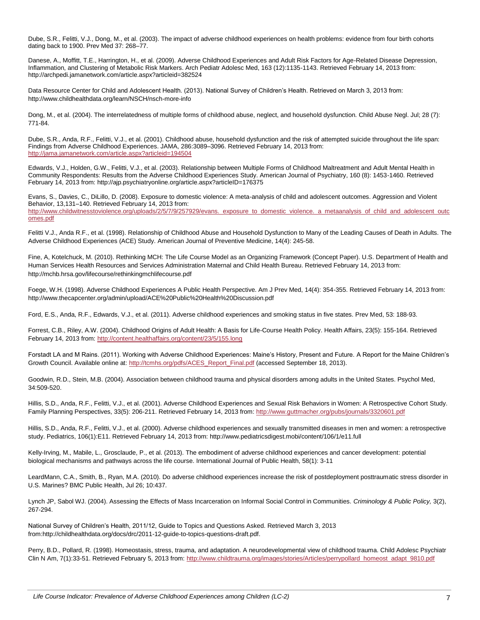Dube, S.R., Felitti, V.J., Dong, M., et al. (2003). The impact of adverse childhood experiences on health problems: evidence from four birth cohorts dating back to 1900. Prev Med 37: 268–77.

Danese, A., Moffitt, T.E., Harrington, H., et al. (2009). Adverse Childhood Experiences and Adult Risk Factors for Age-Related Disease Depression, Inflammation, and Clustering of Metabolic Risk Markers. Arch Pediatr Adolesc Med, 163 (12):1135-1143. Retrieved February 14, 2013 from: http://archpedi.jamanetwork.com/article.aspx?articleid=382524

Data Resource Center for Child and Adolescent Health. (2013). National Survey of Children's Health. Retrieved on March 3, 2013 from: http://www.childhealthdata.org/learn/NSCH/nsch-more-info

Dong, M., et al. (2004). The interrelatedness of multiple forms of childhood abuse, neglect, and household dysfunction. Child Abuse Negl. Jul; 28 (7): 771-84.

Dube, S.R., Anda, R.F., Felitti, V.J., et al. (2001). Childhood abuse, household dysfunction and the risk of attempted suicide throughout the life span: Findings from Adverse Childhood Experiences. JAMA, 286:3089–3096. Retrieved February 14, 2013 from: <http://jama.jamanetwork.com/article.aspx?articleid=194504>

Edwards, V.J., Holden, G.W., Felitti, V.J., et al. (2003). Relationship between Multiple Forms of Childhood Maltreatment and Adult Mental Health in Community Respondents: Results from the Adverse Childhood Experiences Study. American Journal of Psychiatry, 160 (8): 1453-1460. Retrieved February 14, 2013 from: http://ajp.psychiatryonline.org/article.aspx?articleID=176375

Evans, S., Davies, C., DiLillo, D. (2008). Exposure to domestic violence: A meta-analysis of child and adolescent outcomes. Aggression and Violent Behavior, 13,131–140. Retrieved February 14, 2013 from: [http://www.childwitnesstoviolence.org/uploads/2/5/7/9/257929/evans.\\_exposure\\_to\\_domestic\\_violence.\\_a\\_metaanalysis\\_of\\_child\\_and\\_adolescent\\_outc](http://www.childwitnesstoviolence.org/uploads/2/5/7/9/257929/evans._exposure_to_domestic_violence._a_metaanalysis_of_child_and_adolescent_outcomes.pdf) [omes.pdf](http://www.childwitnesstoviolence.org/uploads/2/5/7/9/257929/evans._exposure_to_domestic_violence._a_metaanalysis_of_child_and_adolescent_outcomes.pdf)

Felitti V.J., Anda R.F., et al. (1998). Relationship of Childhood Abuse and Household Dysfunction to Many of the Leading Causes of Death in Adults. The Adverse Childhood Experiences (ACE) Study. American Journal of Preventive Medicine, 14(4): 245-58.

Fine, A, Kotelchuck, M. (2010). Rethinking MCH: The Life Course Model as an Organizing Framework (Concept Paper). U.S. Department of Health and Human Services Health Resources and Services Administration Maternal and Child Health Bureau. Retrieved February 14, 2013 from: http://mchb.hrsa.gov/lifecourse/rethinkingmchlifecourse.pdf

Foege, W.H. (1998). Adverse Childhood Experiences A Public Health Perspective. Am J Prev Med, 14(4): 354-355. Retrieved February 14, 2013 from: http://www.thecapcenter.org/admin/upload/ACE%20Public%20Health%20Discussion.pdf

Ford, E.S., Anda, R.F., Edwards, V.J., et al. (2011). Adverse childhood experiences and smoking status in five states. Prev Med, 53: 188-93.

Forrest, C.B., Riley, A.W. (2004). Childhood Origins of Adult Health: A Basis for Life-Course Health Policy. Health Affairs, 23(5): 155-164. Retrieved February 14, 2013 from:<http://content.healthaffairs.org/content/23/5/155.long>

Forstadt LA and M Rains. (2011). Working with Adverse Childhood Experiences: Maine's History, Present and Future. A Report for the Maine Children's Growth Council. Available online at[: http://tcmhs.org/pdfs/ACES\\_Report\\_Final.pdf](http://tcmhs.org/pdfs/ACES_Report_Final.pdf) (accessed September 18, 2013).

Goodwin, R.D., Stein, M.B. (2004). Association between childhood trauma and physical disorders among adults in the United States. Psychol Med, 34:509-520.

Hillis, S.D., Anda, R.F., Felitti, V.J., et al. (2001). Adverse Childhood Experiences and Sexual Risk Behaviors in Women: A Retrospective Cohort Study. Family Planning Perspectives, 33(5): 206-211. Retrieved February 14, 2013 from:<http://www.guttmacher.org/pubs/journals/3320601.pdf>

Hillis, S.D., Anda, R.F., Felitti, V.J., et al. (2000). Adverse childhood experiences and sexually transmitted diseases in men and women: a retrospective study. Pediatrics, 106(1):E11. Retrieved February 14, 2013 from: http://www.pediatricsdigest.mobi/content/106/1/e11.full

Kelly-Irving, M., Mabile, L., Grosclaude, P., et al. (2013). The embodiment of adverse childhood experiences and cancer development: potential biological mechanisms and pathways across the life course. International Journal of Public Health, 58(1): 3-11

LeardMann, C.A., Smith, B., Ryan, M.A. (2010). Do adverse childhood experiences increase the risk of postdeployment posttraumatic stress disorder in U.S. Marines? BMC Public Health, Jul 26; 10:437.

Lynch JP, Sabol WJ. (2004). Assessing the Effects of Mass Incarceration on Informal Social Control in Communities. *Criminology & Public Policy,* 3(2), 267-294.

National Survey of Children's Health, 2011/12, Guide to Topics and Questions Asked. Retrieved March 3, 2013 from:http://childhealthdata.org/docs/drc/2011-12-guide-to-topics-questions-draft.pdf.

Perry, B.D., Pollard, R. (1998). Homeostasis, stress, trauma, and adaptation. A neurodevelopmental view of childhood trauma. Child Adolesc Psychiatr Clin N Am, 7(1):33-51. Retrieved February 5, 2013 from: [http://www.childtrauma.org/images/stories/Articles/perrypollard\\_homeost\\_adapt\\_9810.pdf](http://www.childtrauma.org/images/stories/Articles/perrypollard_homeost_adapt_9810.pdf)